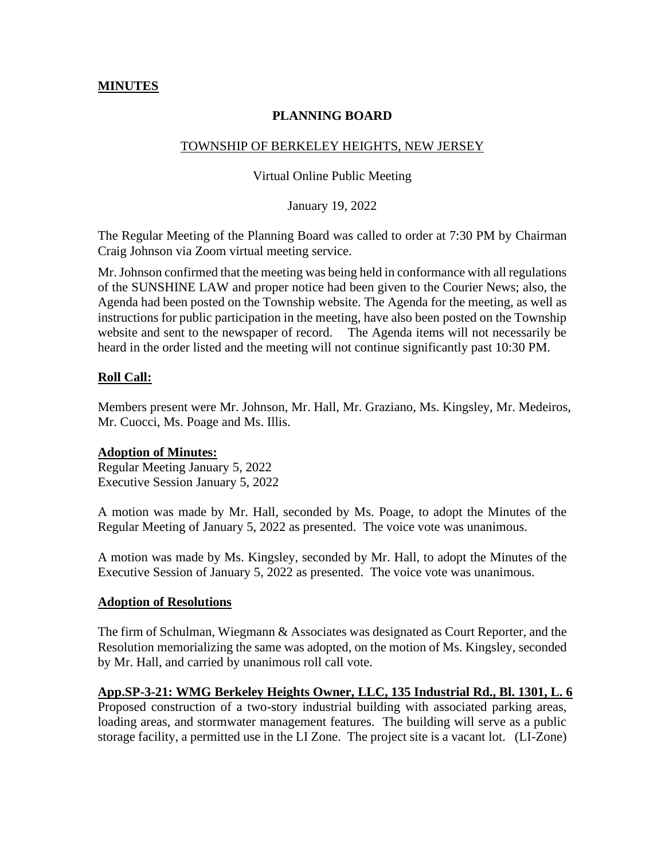## **MINUTES**

# **PLANNING BOARD**

## TOWNSHIP OF BERKELEY HEIGHTS, NEW JERSEY

#### Virtual Online Public Meeting

January 19, 2022

The Regular Meeting of the Planning Board was called to order at 7:30 PM by Chairman Craig Johnson via Zoom virtual meeting service.

Mr. Johnson confirmed that the meeting was being held in conformance with all regulations of the SUNSHINE LAW and proper notice had been given to the Courier News; also, the Agenda had been posted on the Township website. The Agenda for the meeting, as well as instructions for public participation in the meeting, have also been posted on the Township website and sent to the newspaper of record. The Agenda items will not necessarily be heard in the order listed and the meeting will not continue significantly past 10:30 PM.

## **Roll Call:**

Members present were Mr. Johnson, Mr. Hall, Mr. Graziano, Ms. Kingsley, Mr. Medeiros, Mr. Cuocci, Ms. Poage and Ms. Illis.

## **Adoption of Minutes:**

Regular Meeting January 5, 2022 Executive Session January 5, 2022

A motion was made by Mr. Hall, seconded by Ms. Poage, to adopt the Minutes of the Regular Meeting of January 5, 2022 as presented. The voice vote was unanimous.

A motion was made by Ms. Kingsley, seconded by Mr. Hall, to adopt the Minutes of the Executive Session of January 5, 2022 as presented. The voice vote was unanimous.

## **Adoption of Resolutions**

The firm of Schulman, Wiegmann & Associates was designated as Court Reporter, and the Resolution memorializing the same was adopted, on the motion of Ms. Kingsley, seconded by Mr. Hall, and carried by unanimous roll call vote.

## **App.SP-3-21: WMG Berkeley Heights Owner, LLC, 135 Industrial Rd., Bl. 1301, L. 6**

Proposed construction of a two-story industrial building with associated parking areas, loading areas, and stormwater management features. The building will serve as a public storage facility, a permitted use in the LI Zone. The project site is a vacant lot. (LI-Zone)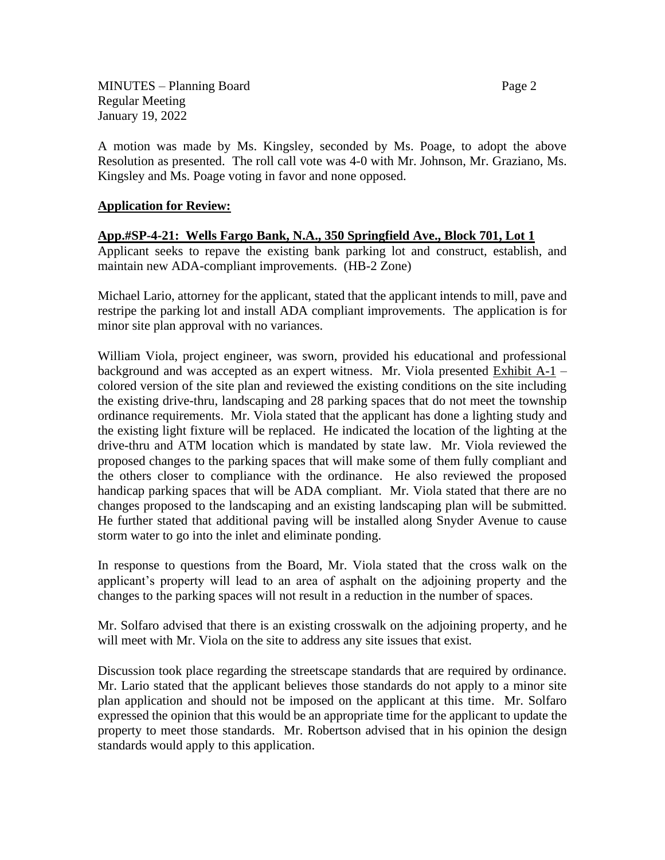MINUTES – Planning Board Page 2 Regular Meeting January 19, 2022

A motion was made by Ms. Kingsley, seconded by Ms. Poage, to adopt the above Resolution as presented. The roll call vote was 4-0 with Mr. Johnson, Mr. Graziano, Ms. Kingsley and Ms. Poage voting in favor and none opposed.

## **Application for Review:**

## **App.#SP-4-21: Wells Fargo Bank, N.A., 350 Springfield Ave., Block 701, Lot 1**

Applicant seeks to repave the existing bank parking lot and construct, establish, and maintain new ADA-compliant improvements. (HB-2 Zone)

Michael Lario, attorney for the applicant, stated that the applicant intends to mill, pave and restripe the parking lot and install ADA compliant improvements. The application is for minor site plan approval with no variances.

William Viola, project engineer, was sworn, provided his educational and professional background and was accepted as an expert witness. Mr. Viola presented Exhibit A-1 – colored version of the site plan and reviewed the existing conditions on the site including the existing drive-thru, landscaping and 28 parking spaces that do not meet the township ordinance requirements. Mr. Viola stated that the applicant has done a lighting study and the existing light fixture will be replaced. He indicated the location of the lighting at the drive-thru and ATM location which is mandated by state law. Mr. Viola reviewed the proposed changes to the parking spaces that will make some of them fully compliant and the others closer to compliance with the ordinance. He also reviewed the proposed handicap parking spaces that will be ADA compliant. Mr. Viola stated that there are no changes proposed to the landscaping and an existing landscaping plan will be submitted. He further stated that additional paving will be installed along Snyder Avenue to cause storm water to go into the inlet and eliminate ponding.

In response to questions from the Board, Mr. Viola stated that the cross walk on the applicant's property will lead to an area of asphalt on the adjoining property and the changes to the parking spaces will not result in a reduction in the number of spaces.

Mr. Solfaro advised that there is an existing crosswalk on the adjoining property, and he will meet with Mr. Viola on the site to address any site issues that exist.

Discussion took place regarding the streetscape standards that are required by ordinance. Mr. Lario stated that the applicant believes those standards do not apply to a minor site plan application and should not be imposed on the applicant at this time. Mr. Solfaro expressed the opinion that this would be an appropriate time for the applicant to update the property to meet those standards. Mr. Robertson advised that in his opinion the design standards would apply to this application.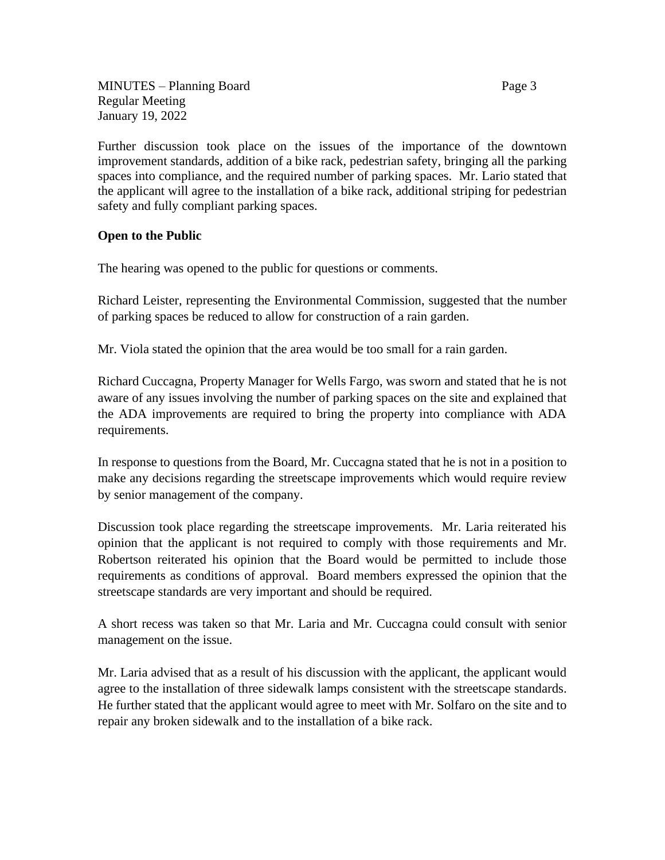MINUTES – Planning Board Page 3 Regular Meeting January 19, 2022

Further discussion took place on the issues of the importance of the downtown improvement standards, addition of a bike rack, pedestrian safety, bringing all the parking spaces into compliance, and the required number of parking spaces. Mr. Lario stated that the applicant will agree to the installation of a bike rack, additional striping for pedestrian safety and fully compliant parking spaces.

## **Open to the Public**

The hearing was opened to the public for questions or comments.

Richard Leister, representing the Environmental Commission, suggested that the number of parking spaces be reduced to allow for construction of a rain garden.

Mr. Viola stated the opinion that the area would be too small for a rain garden.

Richard Cuccagna, Property Manager for Wells Fargo, was sworn and stated that he is not aware of any issues involving the number of parking spaces on the site and explained that the ADA improvements are required to bring the property into compliance with ADA requirements.

In response to questions from the Board, Mr. Cuccagna stated that he is not in a position to make any decisions regarding the streetscape improvements which would require review by senior management of the company.

Discussion took place regarding the streetscape improvements. Mr. Laria reiterated his opinion that the applicant is not required to comply with those requirements and Mr. Robertson reiterated his opinion that the Board would be permitted to include those requirements as conditions of approval. Board members expressed the opinion that the streetscape standards are very important and should be required.

A short recess was taken so that Mr. Laria and Mr. Cuccagna could consult with senior management on the issue.

Mr. Laria advised that as a result of his discussion with the applicant, the applicant would agree to the installation of three sidewalk lamps consistent with the streetscape standards. He further stated that the applicant would agree to meet with Mr. Solfaro on the site and to repair any broken sidewalk and to the installation of a bike rack.